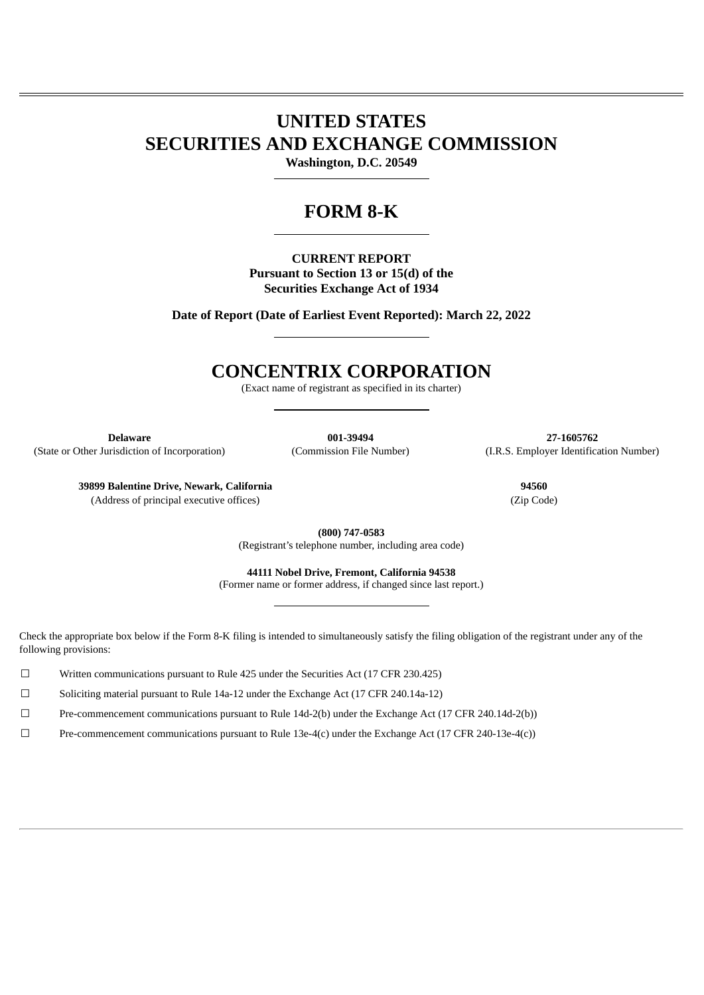# **UNITED STATES SECURITIES AND EXCHANGE COMMISSION**

**Washington, D.C. 20549**

## **FORM 8-K**

**CURRENT REPORT Pursuant to Section 13 or 15(d) of the Securities Exchange Act of 1934**

**Date of Report (Date of Earliest Event Reported): March 22, 2022**

## **CONCENTRIX CORPORATION**

(Exact name of registrant as specified in its charter)

(State or Other Jurisdiction of Incorporation) (Commission File Number) (I.R.S. Employer Identification Number)

**Delaware 001-39494 27-1605762**

**39899 Balentine Drive, Newark, California 94560** (Address of principal executive offices) (Zip Code)

**(800) 747-0583** (Registrant's telephone number, including area code)

**44111 Nobel Drive, Fremont, California 94538** (Former name or former address, if changed since last report.)

Check the appropriate box below if the Form 8-K filing is intended to simultaneously satisfy the filing obligation of the registrant under any of the following provisions:

☐ Written communications pursuant to Rule 425 under the Securities Act (17 CFR 230.425)

☐ Soliciting material pursuant to Rule 14a-12 under the Exchange Act (17 CFR 240.14a-12)

☐ Pre-commencement communications pursuant to Rule 14d-2(b) under the Exchange Act (17 CFR 240.14d-2(b))

☐ Pre-commencement communications pursuant to Rule 13e-4(c) under the Exchange Act (17 CFR 240-13e-4(c))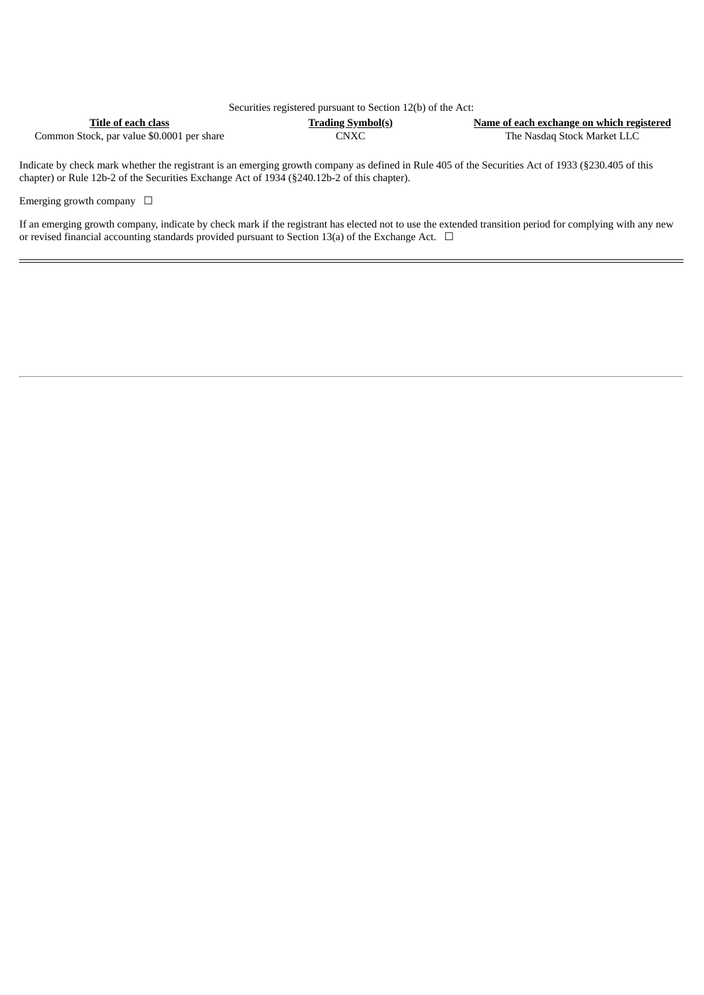| Securities registered pursuant to Section 12(b) of the Act: |                          |                                           |  |  |  |
|-------------------------------------------------------------|--------------------------|-------------------------------------------|--|--|--|
| Title of each class                                         | <b>Trading Symbol(s)</b> | Name of each exchange on which registered |  |  |  |
| Common Stock, par value \$0.0001 per share                  | CNXC                     | The Nasdag Stock Market LLC               |  |  |  |

Indicate by check mark whether the registrant is an emerging growth company as defined in Rule 405 of the Securities Act of 1933 (§230.405 of this chapter) or Rule 12b-2 of the Securities Exchange Act of 1934 (§240.12b-2 of this chapter).

Emerging growth company  $\Box$ 

If an emerging growth company, indicate by check mark if the registrant has elected not to use the extended transition period for complying with any new or revised financial accounting standards provided pursuant to Section 13(a) of the Exchange Act.  $\Box$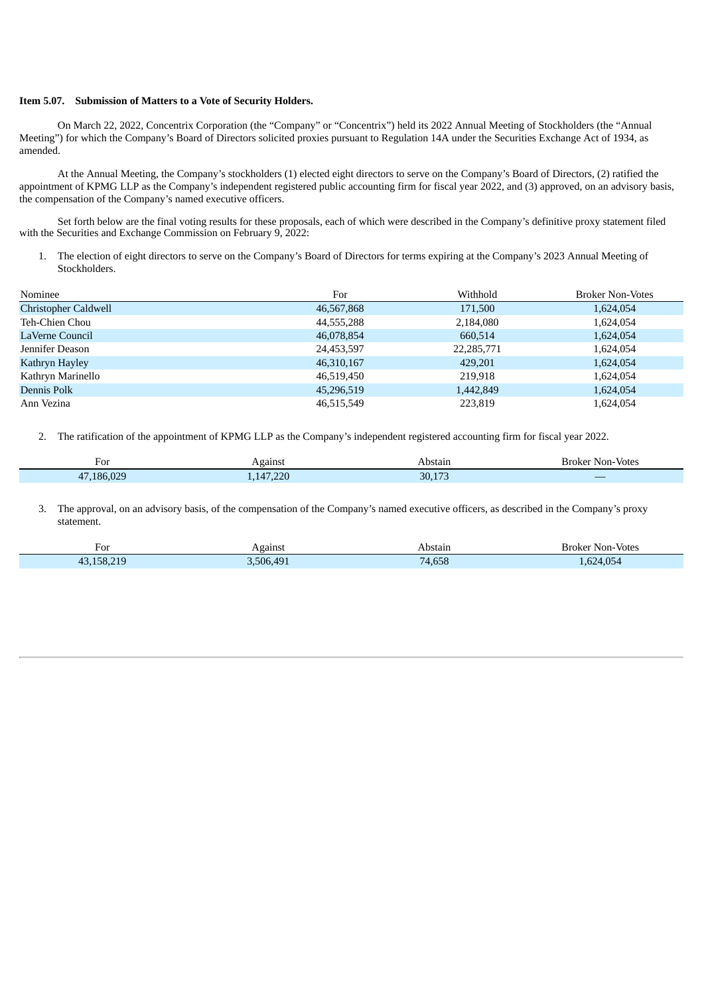#### **Item 5.07. Submission of Matters to a Vote of Security Holders.**

Ξ

On March 22, 2022, Concentrix Corporation (the "Company" or "Concentrix") held its 2022 Annual Meeting of Stockholders (the "Annual Meeting") for which the Company's Board of Directors solicited proxies pursuant to Regulation 14A under the Securities Exchange Act of 1934, as amended.

At the Annual Meeting, the Company's stockholders (1) elected eight directors to serve on the Company's Board of Directors, (2) ratified the appointment of KPMG LLP as the Company's independent registered public accounting firm for fiscal year 2022, and (3) approved, on an advisory basis, the compensation of the Company's named executive officers.

Set forth below are the final voting results for these proposals, each of which were described in the Company's definitive proxy statement filed with the Securities and Exchange Commission on February 9, 2022:

1. The election of eight directors to serve on the Company's Board of Directors for terms expiring at the Company's 2023 Annual Meeting of Stockholders.

| Nominee              | For        | Withhold   | <b>Broker Non-Votes</b> |
|----------------------|------------|------------|-------------------------|
| Christopher Caldwell | 46,567,868 | 171,500    | 1,624,054               |
| Teh-Chien Chou       | 44,555,288 | 2,184,080  | 1,624,054               |
| LaVerne Council      | 46,078,854 | 660,514    | 1,624,054               |
| Jennifer Deason      | 24,453,597 | 22,285,771 | 1,624,054               |
| Kathryn Hayley       | 46,310,167 | 429,201    | 1,624,054               |
| Kathryn Marinello    | 46,519,450 | 219.918    | 1,624,054               |
| Dennis Polk          | 45,296,519 | 1,442,849  | 1,624,054               |
| Ann Vezina           | 46,515,549 | 223,819    | 1,624,054               |

2. The ratification of the appointment of KPMG LLP as the Company's independent registered accounting firm for fiscal year 2022.

| For<br>$\sim$ $\sim$ $\sim$ $\sim$ $\sim$ $\sim$                                                                                                   | $\sim$ | stain<br>−                         | otes<br>Кr<br>אר<br>Non- |
|----------------------------------------------------------------------------------------------------------------------------------------------------|--------|------------------------------------|--------------------------|
| $\mathcal{L}^{\text{max}}_{\text{max}}$ and $\mathcal{L}^{\text{max}}_{\text{max}}$ and $\mathcal{L}^{\text{max}}_{\text{max}}$<br>റാറ<br>$\Omega$ | $\sim$ | <b>Service Service</b><br>٦Λ<br>-- | <b>Service Service</b>   |

3. The approval, on an advisory basis, of the compensation of the Company's named executive officers, as described in the Company's proxy statement.

| For<br>____                                                                                                                       | \gainst<br>$\sim$               | Abstain<br>.               | Votes<br>sroker<br>Non-<br>.                                                                                                                     |
|-----------------------------------------------------------------------------------------------------------------------------------|---------------------------------|----------------------------|--------------------------------------------------------------------------------------------------------------------------------------------------|
| <b>Contract Contract Contract Contract Contract Contract Contract Contract Contract Contract Contract Contract Co</b><br>210<br>4 | <b>CONTRACTOR</b><br>AQ1<br>506 | $\alpha = \alpha$<br>7,UJL | $\mathcal{L}^{\text{max}}_{\text{max}}$ and $\mathcal{L}^{\text{max}}_{\text{max}}$ and $\mathcal{L}^{\text{max}}_{\text{max}}$<br>$\sim$ $\sim$ |